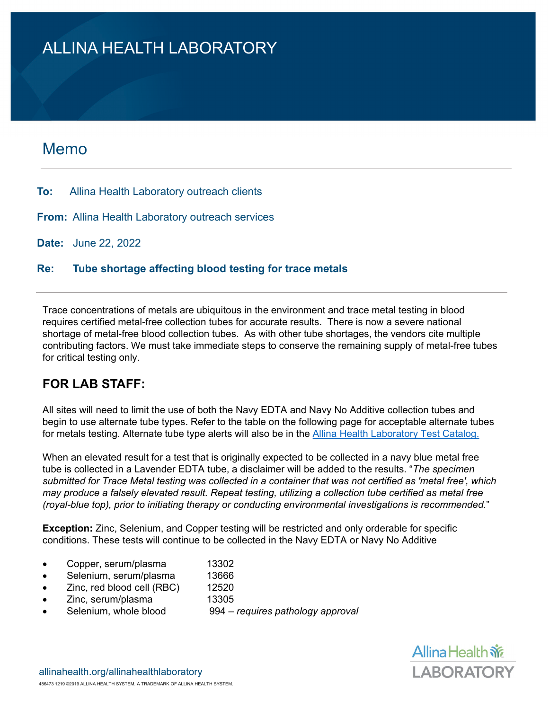## ALLINA HEALTH LABORATORY

### Memo

**To:** Allina Health Laboratory outreach clients

**From:** Allina Health Laboratory outreach services

**Date:** June 22, 2022

**Re: Tube shortage affecting blood testing for trace metals**

Trace concentrations of metals are ubiquitous in the environment and trace metal testing in blood requires certified metal-free collection tubes for accurate results. There is now a severe national shortage of metal-free blood collection tubes. As with other tube shortages, the vendors cite multiple contributing factors. We must take immediate steps to conserve the remaining supply of metal-free tubes for critical testing only.

### **FOR LAB STAFF:**

All sites will need to limit the use of both the Navy EDTA and Navy No Additive collection tubes and begin to use alternate tube types. Refer to the table on the following page for acceptable alternate tubes for metals testing. Alternate tube type alerts will also be in the [Allina Health Laboratory Test Catalog.](https://labs.allinahealth.org/Lab/TestCatalogView)

When an elevated result for a test that is originally expected to be collected in a navy blue metal free tube is collected in a Lavender EDTA tube, a disclaimer will be added to the results. "*The specimen submitted for Trace Metal testing was collected in a container that was not certified as 'metal free', which may produce a falsely elevated result. Repeat testing, utilizing a collection tube certified as metal free (royal-blue top), prior to initiating therapy or conducting environmental investigations is recommended.*"

**Exception:** Zinc, Selenium, and Copper testing will be restricted and only orderable for specific conditions. These tests will continue to be collected in the Navy EDTA or Navy No Additive

- Copper, serum/plasma 13302
- Selenium, serum/plasma 13666
- Zinc, red blood cell (RBC) 12520
- Zinc, serum/plasma 13305
- Selenium, whole blood 994 *requires pathology approval*

Allina Health  $\frac{2}{\sqrt{6}}$ **LABORATORY**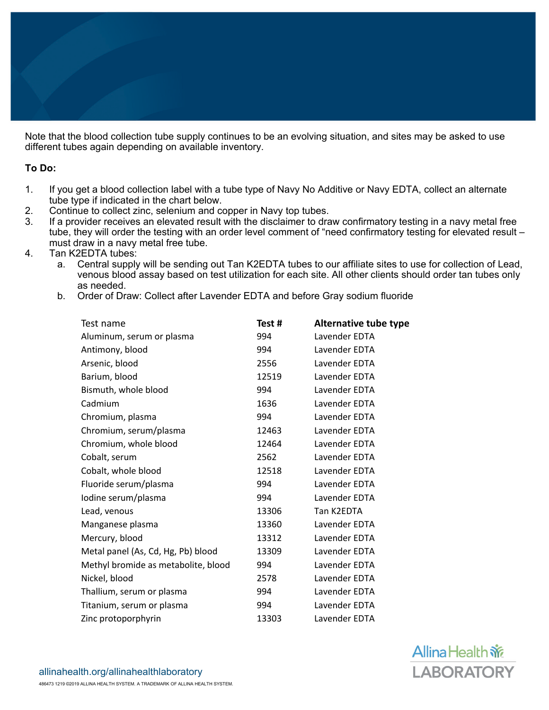Note that the blood collection tube supply continues to be an evolving situation, and sites may be asked to use different tubes again depending on available inventory.

#### **To Do:**

- 1. If you get a blood collection label with a tube type of Navy No Additive or Navy EDTA, collect an alternate tube type if indicated in the chart below.
- 2. Continue to collect zinc, selenium and copper in Navy top tubes.<br>3. If a provider receives an elevated result with the disclaimer to dra
- If a provider receives an elevated result with the disclaimer to draw confirmatory testing in a navy metal free tube, they will order the testing with an order level comment of "need confirmatory testing for elevated result – must draw in a navy metal free tube.
- 4. Tan K2EDTA tubes:
	- a. Central supply will be sending out Tan K2EDTA tubes to our affiliate sites to use for collection of Lead, venous blood assay based on test utilization for each site. All other clients should order tan tubes only as needed.
	- b. Order of Draw: Collect after Lavender EDTA and before Gray sodium fluoride

| Test name                           | Test # | <b>Alternative tube type</b> |
|-------------------------------------|--------|------------------------------|
| Aluminum, serum or plasma           | 994    | Lavender EDTA                |
| Antimony, blood                     | 994    | Lavender EDTA                |
| Arsenic, blood                      | 2556   | Lavender EDTA                |
| Barium, blood                       | 12519  | Lavender EDTA                |
| Bismuth, whole blood                | 994    | Lavender EDTA                |
| Cadmium                             | 1636   | Lavender EDTA                |
| Chromium, plasma                    | 994    | Lavender EDTA                |
| Chromium, serum/plasma              | 12463  | Lavender EDTA                |
| Chromium, whole blood               | 12464  | Lavender EDTA                |
| Cobalt, serum                       | 2562   | Lavender EDTA                |
| Cobalt, whole blood                 | 12518  | Lavender EDTA                |
| Fluoride serum/plasma               | 994    | Lavender EDTA                |
| Iodine serum/plasma                 | 994    | Lavender EDTA                |
| Lead, venous                        | 13306  | Tan K2EDTA                   |
| Manganese plasma                    | 13360  | Lavender EDTA                |
| Mercury, blood                      | 13312  | Lavender EDTA                |
| Metal panel (As, Cd, Hg, Pb) blood  | 13309  | Lavender EDTA                |
| Methyl bromide as metabolite, blood | 994    | Lavender EDTA                |
| Nickel, blood                       | 2578   | Lavender EDTA                |
| Thallium, serum or plasma           | 994    | Lavender EDTA                |
| Titanium, serum or plasma           | 994    | Lavender EDTA                |
| Zinc protoporphyrin                 | 13303  | Lavender EDTA                |
|                                     |        |                              |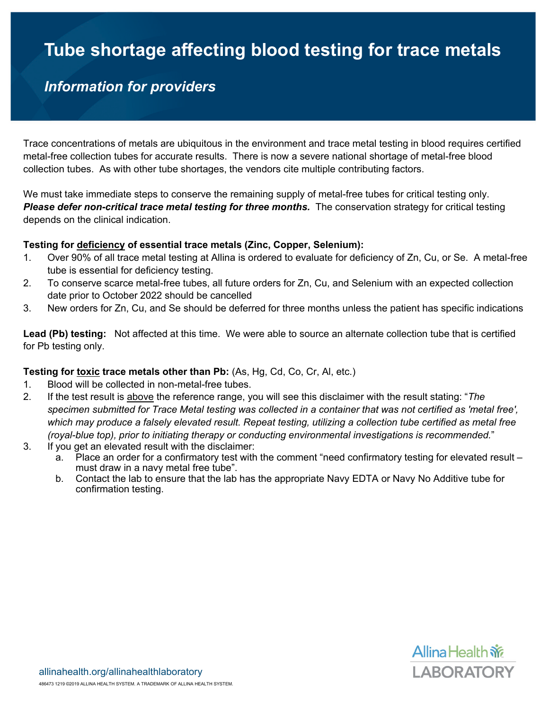# **Tube shortage affecting blood testing for trace metals**

## *Information for providers*

Trace concentrations of metals are ubiquitous in the environment and trace metal testing in blood requires certified metal-free collection tubes for accurate results. There is now a severe national shortage of metal-free blood collection tubes. As with other tube shortages, the vendors cite multiple contributing factors.

We must take immediate steps to conserve the remaining supply of metal-free tubes for critical testing only. *Please defer non-critical trace metal testing for three months.* The conservation strategy for critical testing depends on the clinical indication.

#### **Testing for deficiency of essential trace metals (Zinc, Copper, Selenium):**

- 1. Over 90% of all trace metal testing at Allina is ordered to evaluate for deficiency of Zn, Cu, or Se. A metal-free tube is essential for deficiency testing.
- 2. To conserve scarce metal-free tubes, all future orders for Zn, Cu, and Selenium with an expected collection date prior to October 2022 should be cancelled
- 3. New orders for Zn, Cu, and Se should be deferred for three months unless the patient has specific indications

**Lead (Pb) testing:** Not affected at this time. We were able to source an alternate collection tube that is certified for Pb testing only.

#### **Testing for toxic trace metals other than Pb:** (As, Hg, Cd, Co, Cr, Al, etc.)

- 1. Blood will be collected in non-metal-free tubes.
- 2. If the test result is above the reference range, you will see this disclaimer with the result stating: "*The specimen submitted for Trace Metal testing was collected in a container that was not certified as 'metal free', which may produce a falsely elevated result. Repeat testing, utilizing a collection tube certified as metal free (royal-blue top), prior to initiating therapy or conducting environmental investigations is recommended.*"
- 3. If you get an elevated result with the disclaimer:
	- a. Place an order for a confirmatory test with the comment "need confirmatory testing for elevated result must draw in a navy metal free tube".
	- b. Contact the lab to ensure that the lab has the appropriate Navy EDTA or Navy No Additive tube for confirmation testing.